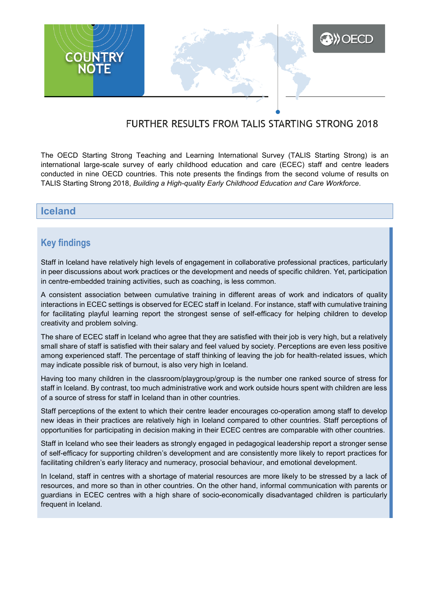

# FURTHER RESULTS FROM TALIS STARTING STRONG 2018

The OECD Starting Strong Teaching and Learning International Survey (TALIS Starting Strong) is an international large-scale survey of early childhood education and care (ECEC) staff and centre leaders conducted in nine OECD countries. This note presents the findings from the second volume of results on TALIS Starting Strong 2018, *Building a High-quality Early Childhood Education and Care Workforce*.

### **Iceland**

## **Key findings**

Staff in Iceland have relatively high levels of engagement in collaborative professional practices, particularly in peer discussions about work practices or the development and needs of specific children. Yet, participation in centre-embedded training activities, such as coaching, is less common.

A consistent association between cumulative training in different areas of work and indicators of quality interactions in ECEC settings is observed for ECEC staff in Iceland. For instance, staff with cumulative training for facilitating playful learning report the strongest sense of self-efficacy for helping children to develop creativity and problem solving.

The share of ECEC staff in Iceland who agree that they are satisfied with their job is very high, but a relatively small share of staff is satisfied with their salary and feel valued by society. Perceptions are even less positive among experienced staff. The percentage of staff thinking of leaving the job for health-related issues, which may indicate possible risk of burnout, is also very high in Iceland.

Having too many children in the classroom/playgroup/group is the number one ranked source of stress for staff in Iceland. By contrast, too much administrative work and work outside hours spent with children are less of a source of stress for staff in Iceland than in other countries.

Staff perceptions of the extent to which their centre leader encourages co-operation among staff to develop new ideas in their practices are relatively high in Iceland compared to other countries. Staff perceptions of opportunities for participating in decision making in their ECEC centres are comparable with other countries.

Staff in Iceland who see their leaders as strongly engaged in pedagogical leadership report a stronger sense of self-efficacy for supporting children's development and are consistently more likely to report practices for facilitating children's early literacy and numeracy, prosocial behaviour, and emotional development.

In Iceland, staff in centres with a shortage of material resources are more likely to be stressed by a lack of resources, and more so than in other countries. On the other hand, informal communication with parents or guardians in ECEC centres with a high share of socio-economically disadvantaged children is particularly frequent in Iceland.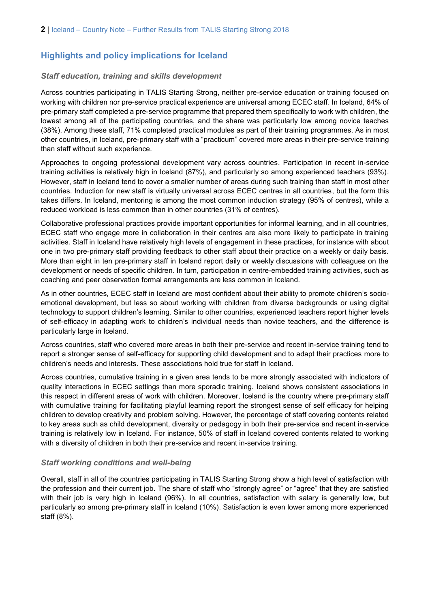## **Highlights and policy implications for Iceland**

#### *Staff education, training and skills development*

Across countries participating in TALIS Starting Strong, neither pre-service education or training focused on working with children nor pre-service practical experience are universal among ECEC staff. In Iceland, 64% of pre-primary staff completed a pre-service programme that prepared them specifically to work with children, the lowest among all of the participating countries, and the share was particularly low among novice teaches (38%). Among these staff, 71% completed practical modules as part of their training programmes. As in most other countries, in Iceland, pre-primary staff with a "practicum" covered more areas in their pre-service training than staff without such experience.

Approaches to ongoing professional development vary across countries. Participation in recent in-service training activities is relatively high in Iceland (87%), and particularly so among experienced teachers (93%). However, staff in Iceland tend to cover a smaller number of areas during such training than staff in most other countries. Induction for new staff is virtually universal across ECEC centres in all countries, but the form this takes differs. In Iceland, mentoring is among the most common induction strategy (95% of centres), while a reduced workload is less common than in other countries (31% of centres).

Collaborative professional practices provide important opportunities for informal learning, and in all countries, ECEC staff who engage more in collaboration in their centres are also more likely to participate in training activities. Staff in Iceland have relatively high levels of engagement in these practices, for instance with about one in two pre-primary staff providing feedback to other staff about their practice on a weekly or daily basis. More than eight in ten pre-primary staff in Iceland report daily or weekly discussions with colleagues on the development or needs of specific children. In turn, participation in centre-embedded training activities, such as coaching and peer observation formal arrangements are less common in Iceland.

As in other countries, ECEC staff in Iceland are most confident about their ability to promote children's socioemotional development, but less so about working with children from diverse backgrounds or using digital technology to support children's learning. Similar to other countries, experienced teachers report higher levels of self-efficacy in adapting work to children's individual needs than novice teachers, and the difference is particularly large in Iceland.

Across countries, staff who covered more areas in both their pre-service and recent in-service training tend to report a stronger sense of self-efficacy for supporting child development and to adapt their practices more to children's needs and interests. These associations hold true for staff in Iceland.

Across countries, cumulative training in a given area tends to be more strongly associated with indicators of quality interactions in ECEC settings than more sporadic training. Iceland shows consistent associations in this respect in different areas of work with children. Moreover, Iceland is the country where pre-primary staff with cumulative training for facilitating playful learning report the strongest sense of self efficacy for helping children to develop creativity and problem solving. However, the percentage of staff covering contents related to key areas such as child development, diversity or pedagogy in both their pre-service and recent in-service training is relatively low in Iceland. For instance, 50% of staff in Iceland covered contents related to working with a diversity of children in both their pre-service and recent in-service training.

#### *Staff working conditions and well-being*

Overall, staff in all of the countries participating in TALIS Starting Strong show a high level of satisfaction with the profession and their current job. The share of staff who "strongly agree" or "agree" that they are satisfied with their job is very high in Iceland (96%). In all countries, satisfaction with salary is generally low, but particularly so among pre-primary staff in Iceland (10%). Satisfaction is even lower among more experienced staff (8%).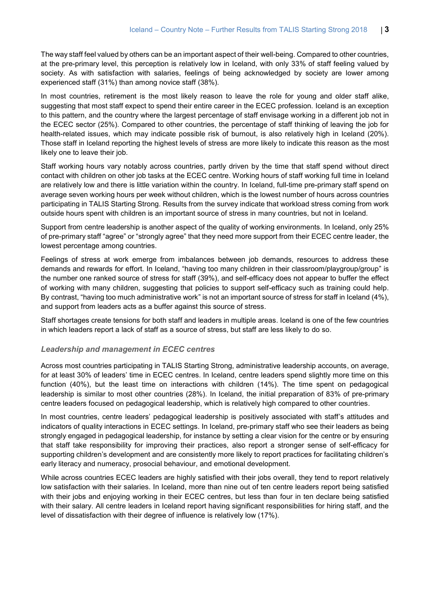The way staff feel valued by others can be an important aspect of their well-being. Compared to other countries, at the pre-primary level, this perception is relatively low in Iceland, with only 33% of staff feeling valued by society. As with satisfaction with salaries, feelings of being acknowledged by society are lower among experienced staff (31%) than among novice staff (38%).

In most countries, retirement is the most likely reason to leave the role for young and older staff alike, suggesting that most staff expect to spend their entire career in the ECEC profession. Iceland is an exception to this pattern, and the country where the largest percentage of staff envisage working in a different job not in the ECEC sector (25%). Compared to other countries, the percentage of staff thinking of leaving the job for health-related issues, which may indicate possible risk of burnout, is also relatively high in Iceland (20%). Those staff in Iceland reporting the highest levels of stress are more likely to indicate this reason as the most likely one to leave their job.

Staff working hours vary notably across countries, partly driven by the time that staff spend without direct contact with children on other job tasks at the ECEC centre. Working hours of staff working full time in Iceland are relatively low and there is little variation within the country. In Iceland, full-time pre-primary staff spend on average seven working hours per week without children, which is the lowest number of hours across countries participating in TALIS Starting Strong. Results from the survey indicate that workload stress coming from work outside hours spent with children is an important source of stress in many countries, but not in Iceland.

Support from centre leadership is another aspect of the quality of working environments. In Iceland, only 25% of pre-primary staff "agree" or "strongly agree" that they need more support from their ECEC centre leader, the lowest percentage among countries.

Feelings of stress at work emerge from imbalances between job demands, resources to address these demands and rewards for effort. In Iceland, "having too many children in their classroom/playgroup/group" is the number one ranked source of stress for staff (39%), and self-efficacy does not appear to buffer the effect of working with many children, suggesting that policies to support self-efficacy such as training could help. By contrast, "having too much administrative work" is not an important source of stress for staff in Iceland (4%), and support from leaders acts as a buffer against this source of stress.

Staff shortages create tensions for both staff and leaders in multiple areas. Iceland is one of the few countries in which leaders report a lack of staff as a source of stress, but staff are less likely to do so.

#### *Leadership and management in ECEC centres*

Across most countries participating in TALIS Starting Strong, administrative leadership accounts, on average, for at least 30% of leaders' time in ECEC centres. In Iceland, centre leaders spend slightly more time on this function (40%), but the least time on interactions with children (14%). The time spent on pedagogical leadership is similar to most other countries (28%). In Iceland, the initial preparation of 83% of pre-primary centre leaders focused on pedagogical leadership, which is relatively high compared to other countries.

In most countries, centre leaders' pedagogical leadership is positively associated with staff's attitudes and indicators of quality interactions in ECEC settings. In Iceland, pre-primary staff who see their leaders as being strongly engaged in pedagogical leadership, for instance by setting a clear vision for the centre or by ensuring that staff take responsibility for improving their practices, also report a stronger sense of self-efficacy for supporting children's development and are consistently more likely to report practices for facilitating children's early literacy and numeracy, prosocial behaviour, and emotional development.

While across countries ECEC leaders are highly satisfied with their jobs overall, they tend to report relatively low satisfaction with their salaries. In Iceland, more than nine out of ten centre leaders report being satisfied with their jobs and enjoying working in their ECEC centres, but less than four in ten declare being satisfied with their salary. All centre leaders in Iceland report having significant responsibilities for hiring staff, and the level of dissatisfaction with their degree of influence is relatively low (17%).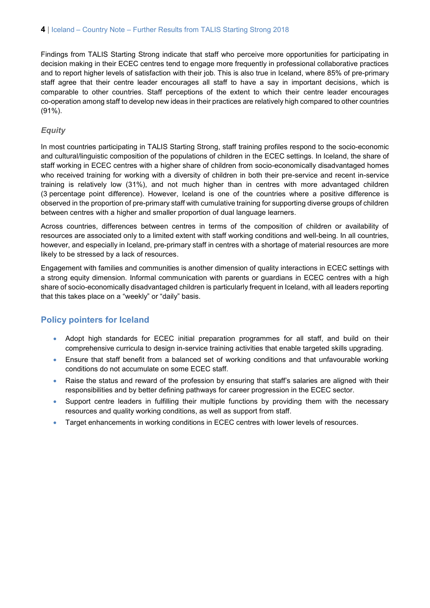Findings from TALIS Starting Strong indicate that staff who perceive more opportunities for participating in decision making in their ECEC centres tend to engage more frequently in professional collaborative practices and to report higher levels of satisfaction with their job. This is also true in Iceland, where 85% of pre-primary staff agree that their centre leader encourages all staff to have a say in important decisions, which is comparable to other countries. Staff perceptions of the extent to which their centre leader encourages co-operation among staff to develop new ideas in their practices are relatively high compared to other countries (91%).

### *Equity*

In most countries participating in TALIS Starting Strong, staff training profiles respond to the socio-economic and cultural/linguistic composition of the populations of children in the ECEC settings. In Iceland, the share of staff working in ECEC centres with a higher share of children from socio-economically disadvantaged homes who received training for working with a diversity of children in both their pre-service and recent in-service training is relatively low (31%), and not much higher than in centres with more advantaged children (3 percentage point difference). However, Iceland is one of the countries where a positive difference is observed in the proportion of pre-primary staff with cumulative training for supporting diverse groups of children between centres with a higher and smaller proportion of dual language learners.

Across countries, differences between centres in terms of the composition of children or availability of resources are associated only to a limited extent with staff working conditions and well-being. In all countries, however, and especially in Iceland, pre-primary staff in centres with a shortage of material resources are more likely to be stressed by a lack of resources.

Engagement with families and communities is another dimension of quality interactions in ECEC settings with a strong equity dimension. Informal communication with parents or guardians in ECEC centres with a high share of socio-economically disadvantaged children is particularly frequent in Iceland, with all leaders reporting that this takes place on a "weekly" or "daily" basis.

### **Policy pointers for Iceland**

- Adopt high standards for ECEC initial preparation programmes for all staff, and build on their comprehensive curricula to design in-service training activities that enable targeted skills upgrading.
- Ensure that staff benefit from a balanced set of working conditions and that unfavourable working conditions do not accumulate on some ECEC staff.
- Raise the status and reward of the profession by ensuring that staff's salaries are aligned with their responsibilities and by better defining pathways for career progression in the ECEC sector.
- Support centre leaders in fulfilling their multiple functions by providing them with the necessary resources and quality working conditions, as well as support from staff.
- Target enhancements in working conditions in ECEC centres with lower levels of resources.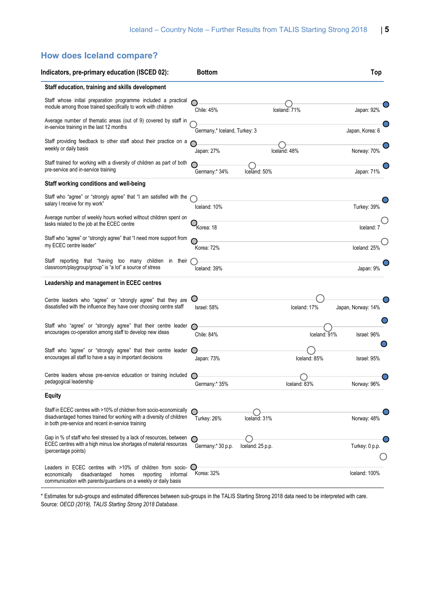# **How does Iceland compare?**

| Indicators, pre-primary education (ISCED 02):                                                                                                                                                     | <b>Bottom</b>                |                  |              | Top                      |
|---------------------------------------------------------------------------------------------------------------------------------------------------------------------------------------------------|------------------------------|------------------|--------------|--------------------------|
| Staff education, training and skills development                                                                                                                                                  |                              |                  |              |                          |
| Staff whose initial preparation programme included a practical<br>module among those trained specifically to work with children                                                                   | Chile: 45%                   |                  | Iceland: 71% | Japan: 92%               |
| Average number of thematic areas (out of 9) covered by staff in<br>in-service training in the last 12 months                                                                                      | Germany,* Iceland, Turkey: 3 |                  |              | Japan, Korea: 6          |
| Staff providing feedback to other staff about their practice on a<br>weekly or daily basis                                                                                                        | Japan: 27%                   |                  | Iceland: 48% | Norway: 70%              |
| Staff trained for working with a diversity of children as part of both<br>pre-service and in-service training                                                                                     | Germany:* 34%                | Iceland: 50%     |              | Japan: 71%               |
| Staff working conditions and well-being                                                                                                                                                           |                              |                  |              |                          |
| Staff who "agree" or "strongly agree" that "I am satisfied with the<br>salary I receive for my work"                                                                                              | Iceland: 10%                 |                  |              | Turkey: 39%              |
| Average number of weekly hours worked without children spent on<br>tasks related to the job at the ECEC centre                                                                                    | Korea: 18                    |                  |              | Iceland: 7               |
| Staff who "agree" or "strongly agree" that "I need more support from<br>my ECEC centre leader"                                                                                                    | Korea: 72%                   |                  |              | Iceland: 25 <sup>9</sup> |
| Staff reporting that "having too many children in their<br>classroom/playgroup/group" is "a lot" a source of stress                                                                               | Iceland: 39%                 |                  |              | Japan: 9%                |
| Leadership and management in ECEC centres                                                                                                                                                         |                              |                  |              |                          |
| Centre leaders who "agree" or "strongly agree" that they are<br>dissatisfied with the influence they have over choosing centre staff                                                              | Israel: 58%                  |                  | Iceland: 17% | Japan, Norway: 14%       |
| Staff who "agree" or "strongly agree" that their centre leader<br>encourages co-operation among staff to develop new ideas                                                                        | Chile: 84%                   |                  | Iceland: 91% | Israel: 96%              |
| Staff who "agree" or "strongly agree" that their centre leader<br>encourages all staff to have a say in important decisions                                                                       | Japan: 73%                   |                  | Iceland: 85% | Israel: 95%              |
| Centre leaders whose pre-service education or training included<br>pedagogical leadership                                                                                                         | Germany:* 35%                |                  | Iceland: 83% | Norway: 96%              |
| <b>Equity</b>                                                                                                                                                                                     |                              |                  |              |                          |
| Staff in ECEC centres with >10% of children from socio-economically<br>disadvantaged homes trained for working with a diversity of children<br>in both pre-service and recent in-service training | Turkey: 26%                  | Iceland: 31%     |              | Norway: 48%              |
| Gap in % of staff who feel stressed by a lack of resources, between<br>ECEC centres with a high minus low shortages of material resources<br>(percentage points)                                  | Germany:* 30 p.p.            | Iceland: 25 p.p. |              | Turkey: 0 p.p.           |
| Leaders in ECEC centres with >10% of children from socio-<br>disadvantaged<br>reporting<br>informal<br>economically<br>homes<br>communication with parents/guardians on a weekly or daily basis   | Korea: 32%                   |                  |              | Iceland: 100%            |

\* Estimates for sub-groups and estimated differences between sub-groups in the TALIS Starting Strong 2018 data need to be interpreted with care. Source: *OECD (2019), TALIS Starting Strong 2018 Database*.